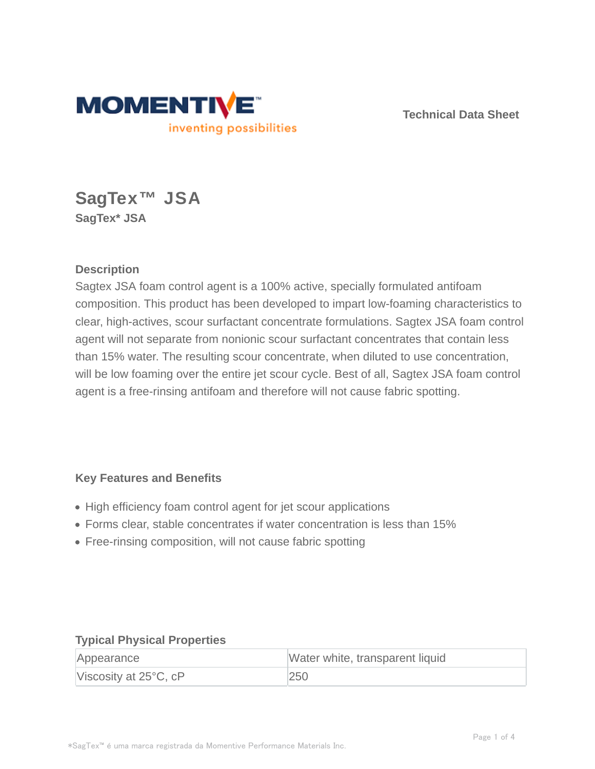

**Technical Data Sheet**

# **SagTex™ JSA SagTex\* JSA**

## **Description**

Sagtex JSA foam control agent is a 100% active, specially formulated antifoam composition. This product has been developed to impart low-foaming characteristics to clear, high-actives, scour surfactant concentrate formulations. Sagtex JSA foam control agent will not separate from nonionic scour surfactant concentrates that contain less than 15% water. The resulting scour concentrate, when diluted to use concentration, will be low foaming over the entire jet scour cycle. Best of all, Sagtex JSA foam control agent is a free-rinsing antifoam and therefore will not cause fabric spotting.

#### **Key Features and Benefits**

- High efficiency foam control agent for jet scour applications
- Forms clear, stable concentrates if water concentration is less than 15%
- Free-rinsing composition, will not cause fabric spotting

#### **Typical Physical Properties**

| Appearance                      | Water white, transparent liquid |
|---------------------------------|---------------------------------|
| Viscosity at $25^{\circ}$ C, cP | 250                             |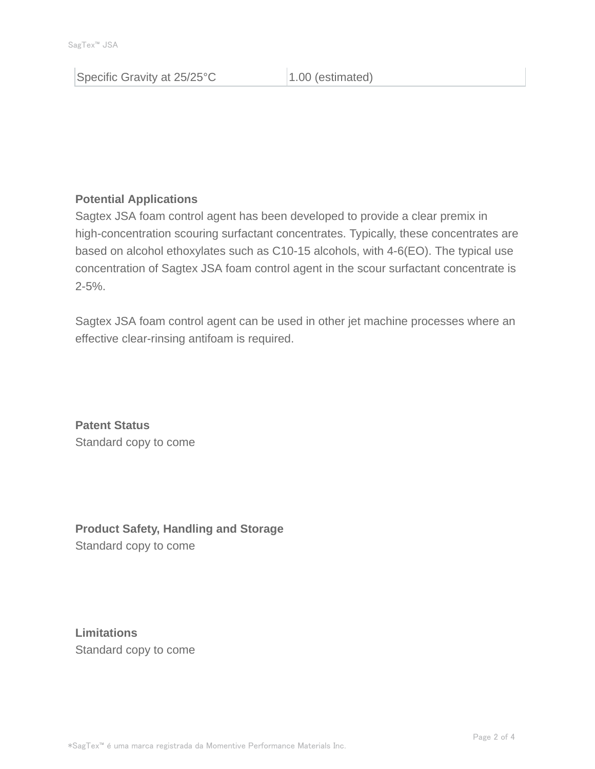Specific Gravity at 25/25°C 1.00 (estimated)

## **Potential Applications**

Sagtex JSA foam control agent has been developed to provide a clear premix in high-concentration scouring surfactant concentrates. Typically, these concentrates are based on alcohol ethoxylates such as C10-15 alcohols, with 4-6(EO). The typical use concentration of Sagtex JSA foam control agent in the scour surfactant concentrate is  $2 - 5%$ .

Sagtex JSA foam control agent can be used in other jet machine processes where an effective clear-rinsing antifoam is required.

**Patent Status** Standard copy to come

**Product Safety, Handling and Storage** Standard copy to come

**Limitations** Standard copy to come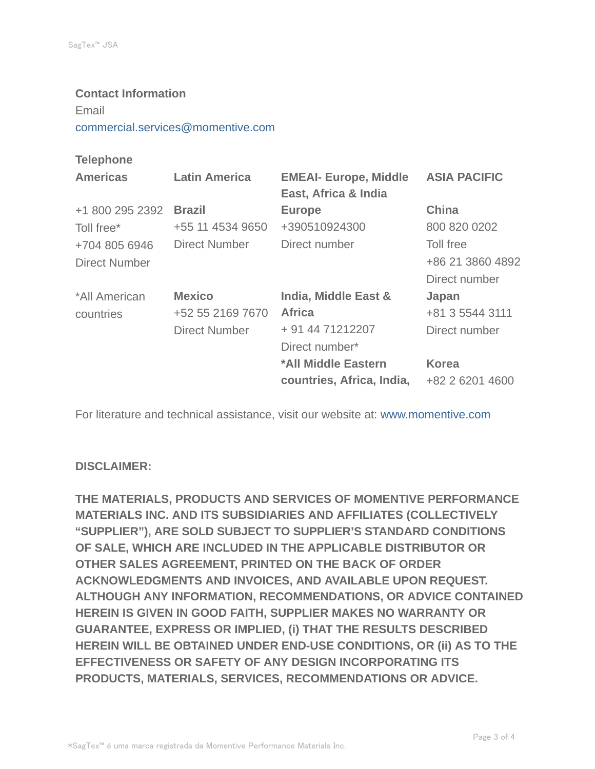**Contact Information** Email commercial.services@momentive.com

## **Telephone**

| <b>Americas</b>      | <b>Latin America</b> | <b>EMEAI- Europe, Middle</b> | <b>ASIA PACIFIC</b> |
|----------------------|----------------------|------------------------------|---------------------|
|                      |                      | East, Africa & India         |                     |
| +1 800 295 2392      | <b>Brazil</b>        | <b>Europe</b>                | <b>China</b>        |
| Toll free*           | +55 11 4534 9650     | +390510924300                | 800 820 0202        |
| +704 805 6946        | Direct Number        | Direct number                | Toll free           |
| <b>Direct Number</b> |                      |                              | +86 21 3860 4892    |
|                      |                      |                              | Direct number       |
| *All American        | <b>Mexico</b>        | India, Middle East &         | Japan               |
| countries            | +52 55 2169 7670     | <b>Africa</b>                | +81 3 5544 3111     |
|                      | <b>Direct Number</b> | + 91 44 71212207             | Direct number       |
|                      |                      | Direct number*               |                     |
|                      |                      | *All Middle Eastern          | <b>Korea</b>        |
|                      |                      | countries, Africa, India,    | +82 2 6201 4600     |

For literature and technical assistance, visit our website at: www.momentive.com

#### **DISCLAIMER:**

**THE MATERIALS, PRODUCTS AND SERVICES OF MOMENTIVE PERFORMANCE MATERIALS INC. AND ITS SUBSIDIARIES AND AFFILIATES (COLLECTIVELY "SUPPLIER"), ARE SOLD SUBJECT TO SUPPLIER'S STANDARD CONDITIONS OF SALE, WHICH ARE INCLUDED IN THE APPLICABLE DISTRIBUTOR OR OTHER SALES AGREEMENT, PRINTED ON THE BACK OF ORDER ACKNOWLEDGMENTS AND INVOICES, AND AVAILABLE UPON REQUEST. ALTHOUGH ANY INFORMATION, RECOMMENDATIONS, OR ADVICE CONTAINED HEREIN IS GIVEN IN GOOD FAITH, SUPPLIER MAKES NO WARRANTY OR GUARANTEE, EXPRESS OR IMPLIED, (i) THAT THE RESULTS DESCRIBED HEREIN WILL BE OBTAINED UNDER END-USE CONDITIONS, OR (ii) AS TO THE EFFECTIVENESS OR SAFETY OF ANY DESIGN INCORPORATING ITS PRODUCTS, MATERIALS, SERVICES, RECOMMENDATIONS OR ADVICE.**